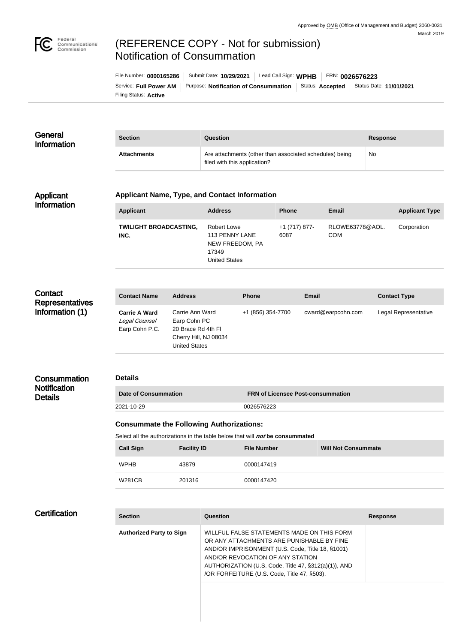

# (REFERENCE COPY - Not for submission) Notification of Consummation

Filing Status: **Active** Service: Full Power AM | Purpose: Notification of Consummation | Status: Accepted | Status Date: 11/01/2021 File Number: **0000165286** Submit Date: **10/29/2021** Lead Call Sign: **WPHB** FRN: **0026576223**

| General<br>Information | <b>Section</b>     | Question                                                                                | Response |
|------------------------|--------------------|-----------------------------------------------------------------------------------------|----------|
|                        | <b>Attachments</b> | Are attachments (other than associated schedules) being<br>filed with this application? | No       |

#### Applicant Information

#### **Applicant Name, Type, and Contact Information**

| <b>Applicant</b>                      | <b>Address</b>                                                                    | <b>Phone</b>          | Email                         | <b>Applicant Type</b> |
|---------------------------------------|-----------------------------------------------------------------------------------|-----------------------|-------------------------------|-----------------------|
| <b>TWILIGHT BROADCASTING,</b><br>INC. | Robert Lowe<br>113 PENNY LANE<br>NEW FREEDOM, PA<br>17349<br><b>United States</b> | +1 (717) 877-<br>6087 | RLOWE63778@AOL.<br><b>COM</b> | Corporation           |

## **Contact Representatives** Information (1)

| <b>Contact Name</b>                                     | <b>Address</b>                                                                                         | <b>Phone</b>      | <b>Email</b>       | <b>Contact Type</b>  |
|---------------------------------------------------------|--------------------------------------------------------------------------------------------------------|-------------------|--------------------|----------------------|
| <b>Carrie A Ward</b><br>Legal Counsel<br>Earp Cohn P.C. | Carrie Ann Ward<br>Earp Cohn PC<br>20 Brace Rd 4th FI<br>Cherry Hill, NJ 08034<br><b>United States</b> | +1 (856) 354-7700 | cward@earpcohn.com | Legal Representative |

#### **Consummation Notification Details**

#### **Details**

| Date of Consummation | <b>FRN of Licensee Post-consummation</b> |
|----------------------|------------------------------------------|
| 2021-10-29           | 0026576223                               |

#### **Consummate the Following Authorizations:**

Select all the authorizations in the table below that will **not** be consummated

| <b>Call Sign</b> | <b>Facility ID</b> | <b>File Number</b> | <b>Will Not Consummate</b> |
|------------------|--------------------|--------------------|----------------------------|
| <b>WPHB</b>      | 43879              | 0000147419         |                            |
| <b>W281CB</b>    | 201316             | 0000147420         |                            |

### **Certification**

| <b>Section</b>                  | Question                                                                                                                                                                                                                                                                               | <b>Response</b> |
|---------------------------------|----------------------------------------------------------------------------------------------------------------------------------------------------------------------------------------------------------------------------------------------------------------------------------------|-----------------|
| <b>Authorized Party to Sign</b> | WILLFUL FALSE STATEMENTS MADE ON THIS FORM<br>OR ANY ATTACHMENTS ARE PUNISHABLE BY FINE<br>AND/OR IMPRISONMENT (U.S. Code, Title 18, §1001)<br>AND/OR REVOCATION OF ANY STATION<br>AUTHORIZATION (U.S. Code, Title 47, §312(a)(1)), AND<br>/OR FORFEITURE (U.S. Code, Title 47, §503). |                 |
|                                 |                                                                                                                                                                                                                                                                                        |                 |